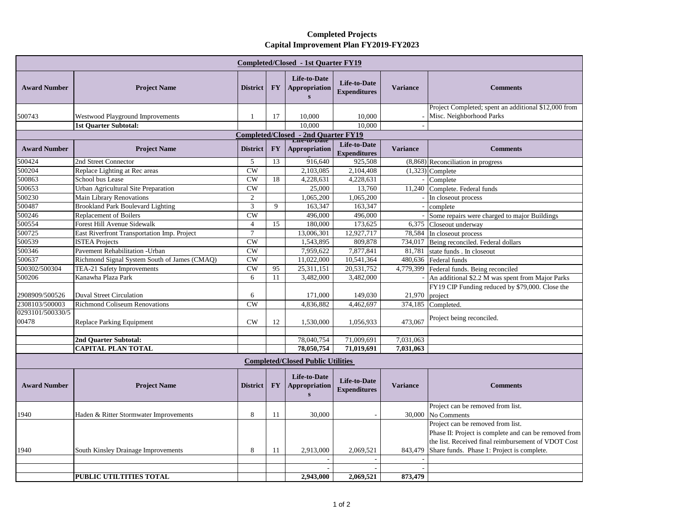## **Completed Projects Capital Improvement Plan FY2019-FY2023**

| <b>Completed/Closed - 1st Quarter FY19</b> |                                                                            |                      |           |                                                      |                                     |                 |                                                                                                                                                                                                 |
|--------------------------------------------|----------------------------------------------------------------------------|----------------------|-----------|------------------------------------------------------|-------------------------------------|-----------------|-------------------------------------------------------------------------------------------------------------------------------------------------------------------------------------------------|
| <b>Award Number</b>                        | <b>Project Name</b>                                                        | <b>District</b>      | <b>FY</b> | Life-to-Date<br><b>Appropriation</b><br>$\mathbf{s}$ | Life-to-Date<br><b>Expenditures</b> | <b>Variance</b> | <b>Comments</b>                                                                                                                                                                                 |
| 500743                                     | Westwood Playground Improvements                                           | 1                    | 17        | 10,000                                               | 10.000                              |                 | Project Completed; spent an additional \$12,000 from<br>Misc. Neighborhood Parks                                                                                                                |
|                                            | <b>1st Quarter Subtotal:</b>                                               |                      |           | 10,000                                               | 10,000                              |                 |                                                                                                                                                                                                 |
| Completed/Closed - 2nd Quarter FY19        |                                                                            |                      |           |                                                      |                                     |                 |                                                                                                                                                                                                 |
| <b>Award Number</b>                        | <b>Project Name</b>                                                        | <b>District</b>      | <b>FY</b> | Appropriation                                        | Life-to-Date<br><b>Expenditures</b> | <b>Variance</b> | <b>Comments</b>                                                                                                                                                                                 |
| 500424                                     | 2nd Street Connector                                                       | 5                    | 13        | 916,640                                              | 925,508                             |                 | $(8,868)$ Reconciliation in progress                                                                                                                                                            |
| 500204                                     | Replace Lighting at Rec areas                                              | CW                   |           | 2.103.085                                            | 2.104.408                           |                 | $(1,323)$ Complete                                                                                                                                                                              |
| 500863                                     | School bus Lease                                                           | CW                   | 18        | 4,228,631                                            | 4,228,631                           |                 | Complete                                                                                                                                                                                        |
| 500653                                     | Urban Agricultural Site Preparation                                        | <b>CW</b>            |           | 25,000                                               | 13,760                              | 11,240          | Complete. Federal funds                                                                                                                                                                         |
| 500230                                     | <b>Main Library Renovations</b>                                            | 2                    |           | 1,065,200                                            | 1,065,200                           |                 | In closeout process                                                                                                                                                                             |
| 500487                                     | <b>Brookland Park Boulevard Lighting</b>                                   | $\overline{3}$       | 9         | 163,347                                              | 163,347                             | $\sim$          | complete                                                                                                                                                                                        |
| 500246<br>500554                           | <b>Replacement of Boilers</b>                                              | CW<br>$\overline{4}$ | 15        | 496,000<br>180,000                                   | 496,000<br>173,625                  |                 | Some repairs were charged to major Buildings                                                                                                                                                    |
| 500725                                     | Forest Hill Avenue Sidewalk<br>East Riverfront Transportation Imp. Project | $\tau$               |           | 13,006,301                                           | 12,927,717                          |                 | 6,375 Closeout underway                                                                                                                                                                         |
| 500539                                     | <b>ISTEA Projects</b>                                                      | CW                   |           | 1,543,895                                            | 809,878                             |                 | 78,584 In closeout process<br>734,017 Being reconciled. Federal dollars                                                                                                                         |
| 500346                                     | Pavement Rehabilitation - Urban                                            | CW                   |           | 7.959.622                                            | 7.877.841                           | 81.781          | state funds. In closeout                                                                                                                                                                        |
| 500637                                     | Richmond Signal System South of James (CMAQ)                               | CW                   |           | 11,022,000                                           | 10,541,364                          |                 | 480,636 Federal funds                                                                                                                                                                           |
| 500302/500304                              | TEA-21 Safety Improvements                                                 | CW                   | 95        | 25,311,151                                           | 20,531,752                          |                 | 4,779,399 Federal funds. Being reconciled                                                                                                                                                       |
| 500206                                     | Kanawha Plaza Park                                                         | 6                    | 11        | 3,482,000                                            | 3,482,000                           |                 | An additional \$2.2 M was spent from Major Parks                                                                                                                                                |
| 2908909/500526                             | <b>Duval Street Circulation</b>                                            | 6                    |           | 171,000                                              | 149,030                             | 21,970          | FY19 CIP Funding reduced by \$79,000. Close the<br>project                                                                                                                                      |
| 2308103/500003                             | <b>Richmond Coliseum Renovations</b>                                       | CW                   |           | 4,836,882                                            | 4,462,697                           | 374,185         | Completed.                                                                                                                                                                                      |
| 0293101/500330/5<br>00478                  | <b>Replace Parking Equipment</b>                                           | CW                   | 12        | 1,530,000                                            | 1,056,933                           | 473,067         | Project being reconciled.                                                                                                                                                                       |
|                                            |                                                                            |                      |           |                                                      |                                     |                 |                                                                                                                                                                                                 |
|                                            | 2nd Quarter Subtotal:                                                      |                      |           | 78,040,754                                           | 71,009,691                          | 7,031,063       |                                                                                                                                                                                                 |
|                                            | <b>CAPITAL PLAN TOTAL</b>                                                  |                      |           | 78,050,754                                           | 71,019,691                          | 7,031,063       |                                                                                                                                                                                                 |
| <b>Completed/Closed Public Utilities</b>   |                                                                            |                      |           |                                                      |                                     |                 |                                                                                                                                                                                                 |
| <b>Award Number</b>                        | <b>Project Name</b>                                                        | <b>District</b>      | <b>FY</b> | Life-to-Date<br><b>Appropriation</b><br>$\mathbf{s}$ | Life-to-Date<br><b>Expenditures</b> | <b>Variance</b> | <b>Comments</b>                                                                                                                                                                                 |
|                                            |                                                                            |                      |           |                                                      |                                     |                 | Project can be removed from list.                                                                                                                                                               |
| 1940                                       | Haden & Ritter Stormwater Improvements                                     | 8                    | 11        | 30,000                                               |                                     |                 | 30,000 No Comments                                                                                                                                                                              |
| 1940                                       | <b>South Kinsley Drainage Improvements</b>                                 | 8                    | 11        | 2,913,000                                            | 2,069,521                           | 843,479         | Project can be removed from list.<br>Phase II: Project is complete and can be removed from<br>the list. Received final reimbursement of VDOT Cost<br>Share funds. Phase 1: Project is complete. |
|                                            |                                                                            |                      |           |                                                      |                                     |                 |                                                                                                                                                                                                 |
|                                            |                                                                            |                      |           |                                                      |                                     |                 |                                                                                                                                                                                                 |
|                                            | <b>PUBLIC UTILTITIES TOTAL</b>                                             |                      |           | 2,943,000                                            | 2,069,521                           | 873,479         |                                                                                                                                                                                                 |